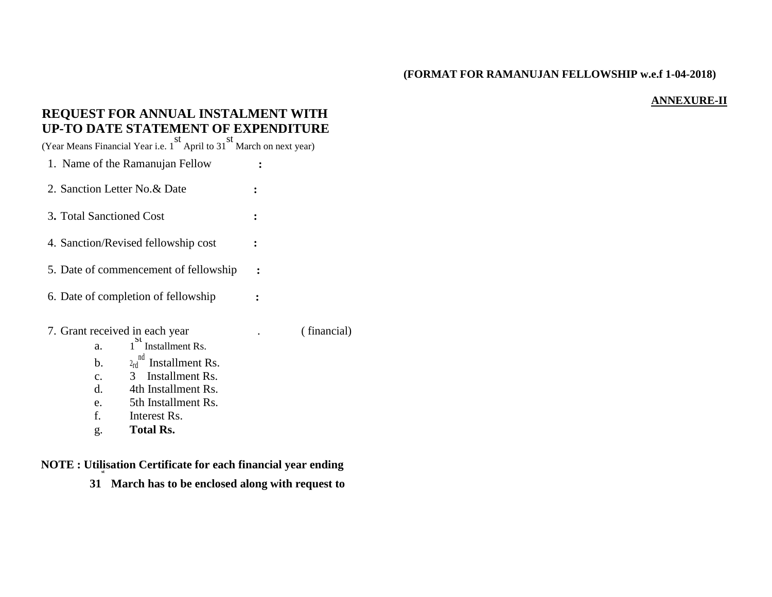## **(FORMAT FOR RAMANUJAN FELLOWSHIP w.e.f 1-04-2018)**

## **ANNEXURE-II**

## **REQUEST FOR ANNUAL INSTALMENT WITH UP-TO DATE STATEMENT OF EXPENDITURE**

(Year Means Financial Year i.e. 1 st April to 31 st March on next year)

1. Name of the Ramanujan Fellow **:**

2. Sanction Letter No.& Date **:**

- 3**.** Total Sanctioned Cost **:**
- 4. Sanction/Revised fellowship cost **:**
- 5. Date of commencement of fellowship **:**
- 6. Date of completion of fellowship **:**
- 7. Grant received in each year . ( financial)  $\frac{St}{S}$  Installment Rs.

- b.  $2_{rd}^{nd}$  Installment Rs.
- c. 3 Installment Rs.
- d. 4th Installment Rs.
- e. 5th Installment Rs.
- f. Interest Rs.
- g. **Total Rs.**

a.

**NOTE : Utilisation Certificate for each financial year ending st**

**31 March has to be enclosed along with request to**